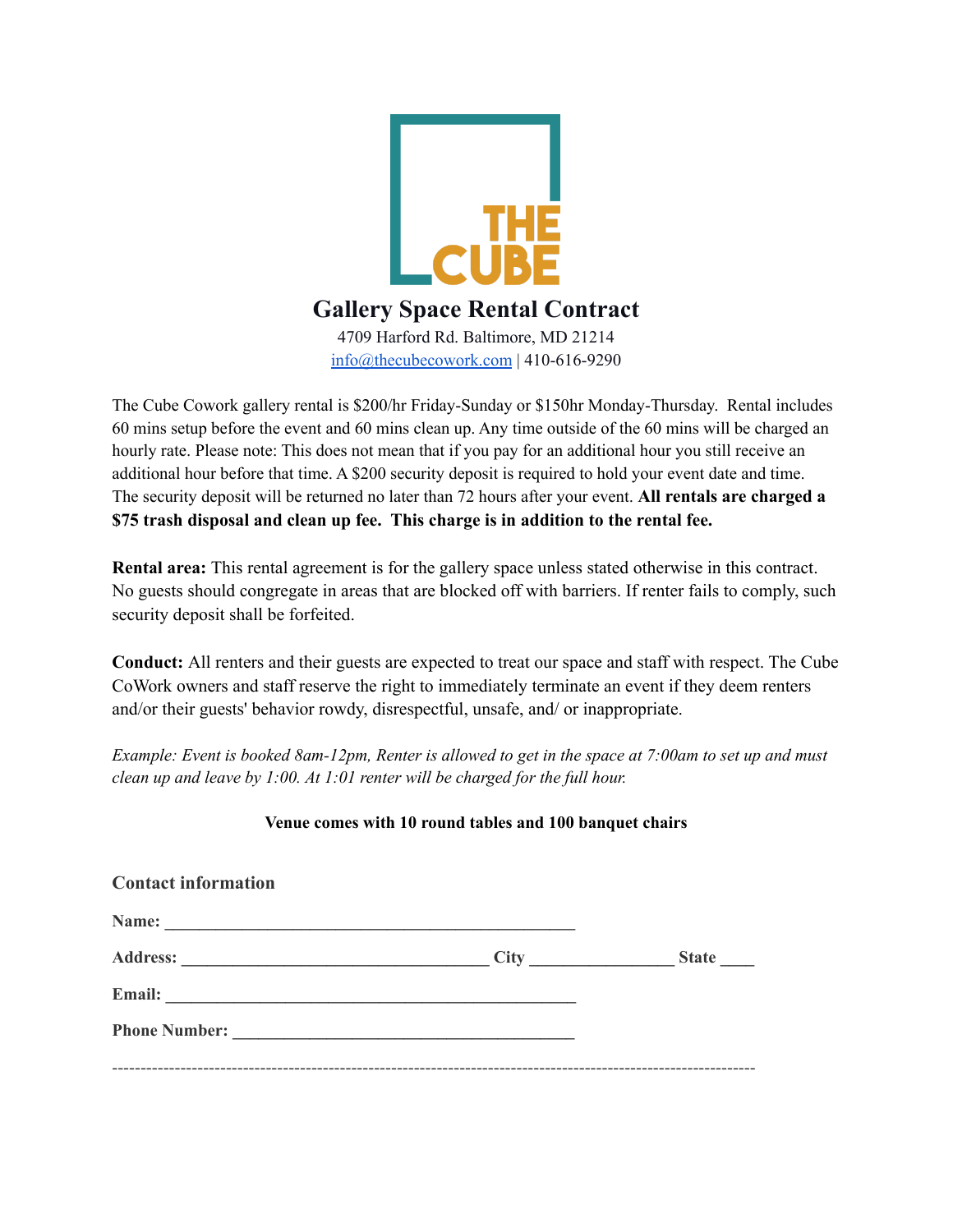

The Cube Cowork gallery rental is \$200/hr Friday-Sunday or \$150hr Monday-Thursday. Rental includes 60 mins setup before the event and 60 mins clean up. Any time outside of the 60 mins will be charged an hourly rate. Please note: This does not mean that if you pay for an additional hour you still receive an additional hour before that time. A \$200 security deposit is required to hold your event date and time. The security deposit will be returned no later than 72 hours after your event. **All rentals are charged a \$75 trash disposal and clean up fee. This charge is in addition to the rental fee.**

**Rental area:** This rental agreement is for the gallery space unless stated otherwise in this contract. No guests should congregate in areas that are blocked off with barriers. If renter fails to comply, such security deposit shall be forfeited.

**Conduct:** All renters and their guests are expected to treat our space and staff with respect. The Cube CoWork owners and staff reserve the right to immediately terminate an event if they deem renters and/or their guests' behavior rowdy, disrespectful, unsafe, and/ or inappropriate.

Example: Event is booked 8am-12pm, Renter is allowed to get in the space at  $7:00$ am to set up and must *clean up and leave by 1:00. At 1:01 renter will be charged for the full hour.*

### **Venue comes with 10 round tables and 100 banquet chairs**

| <b>Contact information</b> |      |              |
|----------------------------|------|--------------|
|                            |      |              |
|                            | City | <b>State</b> |
|                            |      |              |
| Phone Number:              |      |              |
|                            |      |              |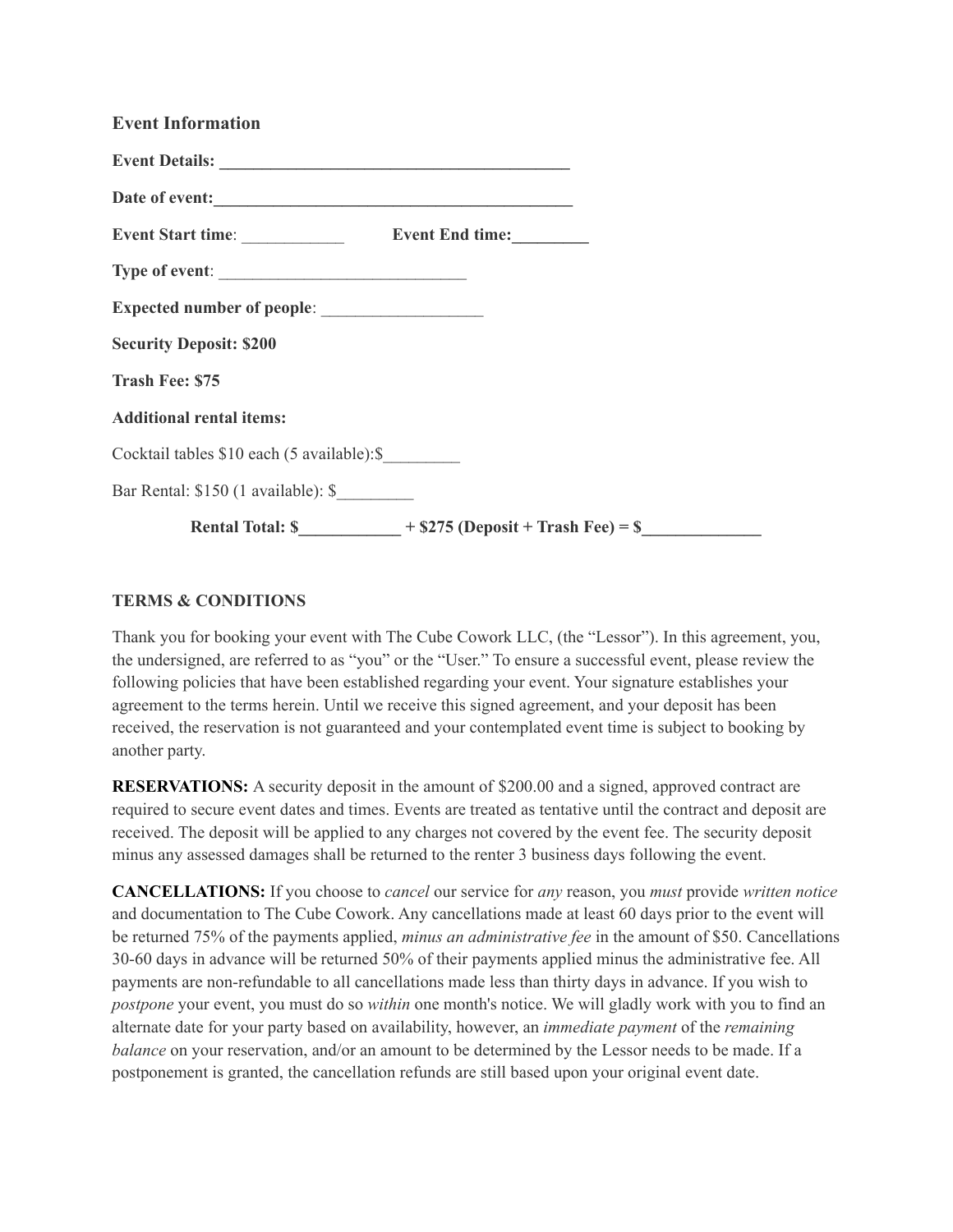| <b>Event Information</b>                              |
|-------------------------------------------------------|
|                                                       |
|                                                       |
|                                                       |
| Type of event:                                        |
|                                                       |
| <b>Security Deposit: \$200</b>                        |
| <b>Trash Fee: \$75</b>                                |
| <b>Additional rental items:</b>                       |
| Cocktail tables \$10 each (5 available):\$            |
| Bar Rental: \$150 (1 available): \$                   |
| Rental Total: $\$$ + \$275 (Deposit + Trash Fee) = \$ |

#### **TERMS & CONDITIONS**

Thank you for booking your event with The Cube Cowork LLC, (the "Lessor"). In this agreement, you, the undersigned, are referred to as "you" or the "User." To ensure a successful event, please review the following policies that have been established regarding your event. Your signature establishes your agreement to the terms herein. Until we receive this signed agreement, and your deposit has been received, the reservation is not guaranteed and your contemplated event time is subject to booking by another party.

**RESERVATIONS:** A security deposit in the amount of \$200.00 and a signed, approved contract are required to secure event dates and times. Events are treated as tentative until the contract and deposit are received. The deposit will be applied to any charges not covered by the event fee. The security deposit minus any assessed damages shall be returned to the renter 3 business days following the event.

**CANCELLATIONS:** If you choose to *cancel* our service for *any* reason, you *must* provide *written notice* and documentation to The Cube Cowork. Any cancellations made at least 60 days prior to the event will be returned 75% of the payments applied, *minus an administrative fee* in the amount of \$50. Cancellations 30-60 days in advance will be returned 50% of their payments applied minus the administrative fee. All payments are non-refundable to all cancellations made less than thirty days in advance. If you wish to *postpone* your event, you must do so *within* one month's notice. We will gladly work with you to find an alternate date for your party based on availability, however, an *immediate payment* of the *remaining balance* on your reservation, and/or an amount to be determined by the Lessor needs to be made. If a postponement is granted, the cancellation refunds are still based upon your original event date.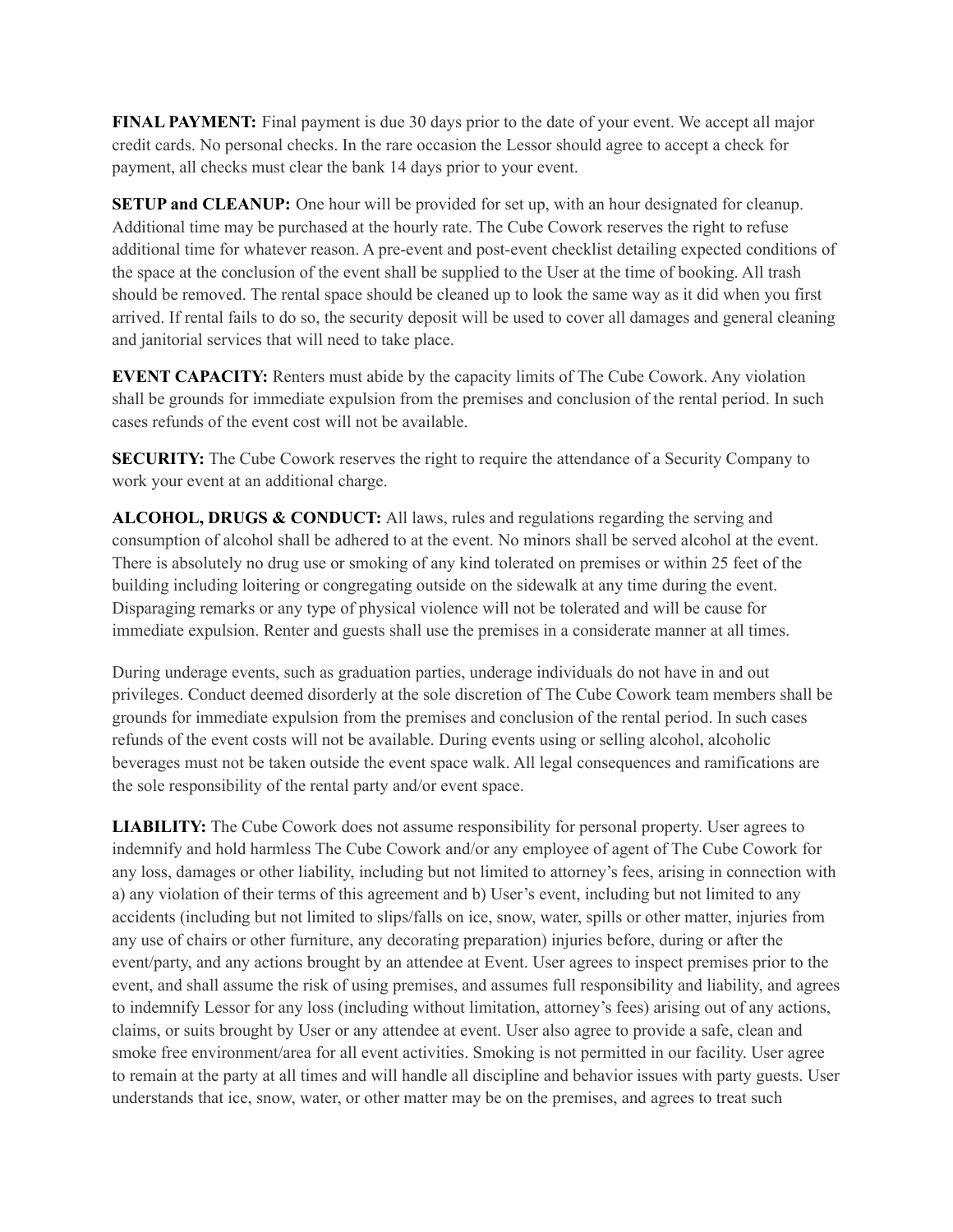**FINAL PAYMENT:** Final payment is due 30 days prior to the date of your event. We accept all major credit cards. No personal checks. In the rare occasion the Lessor should agree to accept a check for payment, all checks must clear the bank 14 days prior to your event.

**SETUP and CLEANUP:** One hour will be provided for set up, with an hour designated for cleanup. Additional time may be purchased at the hourly rate. The Cube Cowork reserves the right to refuse additional time for whatever reason. A pre-event and post-event checklist detailing expected conditions of the space at the conclusion of the event shall be supplied to the User at the time of booking. All trash should be removed. The rental space should be cleaned up to look the same way as it did when you first arrived. If rental fails to do so, the security deposit will be used to cover all damages and general cleaning and janitorial services that will need to take place.

**EVENT CAPACITY:** Renters must abide by the capacity limits of The Cube Cowork. Any violation shall be grounds for immediate expulsion from the premises and conclusion of the rental period. In such cases refunds of the event cost will not be available.

**SECURITY:** The Cube Cowork reserves the right to require the attendance of a Security Company to work your event at an additional charge.

**ALCOHOL, DRUGS & CONDUCT:** All laws, rules and regulations regarding the serving and consumption of alcohol shall be adhered to at the event. No minors shall be served alcohol at the event. There is absolutely no drug use or smoking of any kind tolerated on premises or within 25 feet of the building including loitering or congregating outside on the sidewalk at any time during the event. Disparaging remarks or any type of physical violence will not be tolerated and will be cause for immediate expulsion. Renter and guests shall use the premises in a considerate manner at all times.

During underage events, such as graduation parties, underage individuals do not have in and out privileges. Conduct deemed disorderly at the sole discretion of The Cube Cowork team members shall be grounds for immediate expulsion from the premises and conclusion of the rental period. In such cases refunds of the event costs will not be available. During events using or selling alcohol, alcoholic beverages must not be taken outside the event space walk. All legal consequences and ramifications are the sole responsibility of the rental party and/or event space.

**LIABILITY:** The Cube Cowork does not assume responsibility for personal property. User agrees to indemnify and hold harmless The Cube Cowork and/or any employee of agent of The Cube Cowork for any loss, damages or other liability, including but not limited to attorney's fees, arising in connection with a) any violation of their terms of this agreement and b) User's event, including but not limited to any accidents (including but not limited to slips/falls on ice, snow, water, spills or other matter, injuries from any use of chairs or other furniture, any decorating preparation) injuries before, during or after the event/party, and any actions brought by an attendee at Event. User agrees to inspect premises prior to the event, and shall assume the risk of using premises, and assumes full responsibility and liability, and agrees to indemnify Lessor for any loss (including without limitation, attorney's fees) arising out of any actions, claims, or suits brought by User or any attendee at event. User also agree to provide a safe, clean and smoke free environment/area for all event activities. Smoking is not permitted in our facility. User agree to remain at the party at all times and will handle all discipline and behavior issues with party guests. User understands that ice, snow, water, or other matter may be on the premises, and agrees to treat such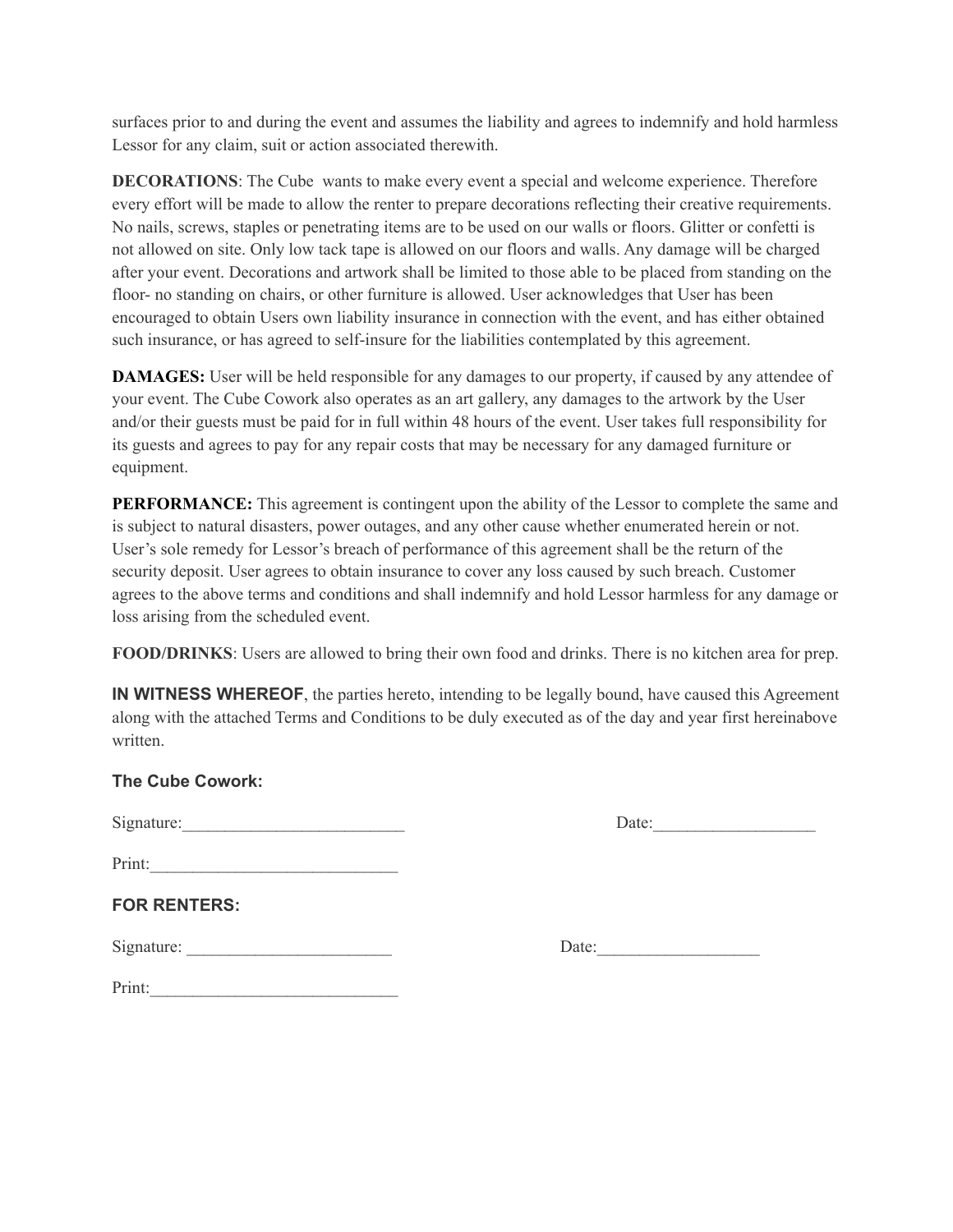surfaces prior to and during the event and assumes the liability and agrees to indemnify and hold harmless Lessor for any claim, suit or action associated therewith.

**DECORATIONS**: The Cube wants to make every event a special and welcome experience. Therefore every effort will be made to allow the renter to prepare decorations reflecting their creative requirements. No nails, screws, staples or penetrating items are to be used on our walls or floors. Glitter or confetti is not allowed on site. Only low tack tape is allowed on our floors and walls. Any damage will be charged after your event. Decorations and artwork shall be limited to those able to be placed from standing on the floor- no standing on chairs, or other furniture is allowed. User acknowledges that User has been encouraged to obtain Users own liability insurance in connection with the event, and has either obtained such insurance, or has agreed to self-insure for the liabilities contemplated by this agreement.

**DAMAGES:** User will be held responsible for any damages to our property, if caused by any attendee of your event. The Cube Cowork also operates as an art gallery, any damages to the artwork by the User and/or their guests must be paid for in full within 48 hours of the event. User takes full responsibility for its guests and agrees to pay for any repair costs that may be necessary for any damaged furniture or equipment.

**PERFORMANCE:** This agreement is contingent upon the ability of the Lessor to complete the same and is subject to natural disasters, power outages, and any other cause whether enumerated herein or not. User's sole remedy for Lessor's breach of performance of this agreement shall be the return of the security deposit. User agrees to obtain insurance to cover any loss caused by such breach. Customer agrees to the above terms and conditions and shall indemnify and hold Lessor harmless for any damage or loss arising from the scheduled event.

**FOOD/DRINKS**: Users are allowed to bring their own food and drinks. There is no kitchen area for prep.

**IN WITNESS WHEREOF**, the parties hereto, intending to be legally bound, have caused this Agreement along with the attached Terms and Conditions to be duly executed as of the day and year first hereinabove written.

### **The Cube Cowork:**

Signature:\_\_\_\_\_\_\_\_\_\_\_\_\_\_\_\_\_\_\_\_\_\_\_\_\_\_ Date:\_\_\_\_\_\_\_\_\_\_\_\_\_\_\_\_\_\_\_

| Date: |  |  |  |  |
|-------|--|--|--|--|
|       |  |  |  |  |

Print:

# **FOR RENTERS:**

Signature:

| Date: |  |
|-------|--|
|       |  |

| Print: |  |  |  |
|--------|--|--|--|
|        |  |  |  |